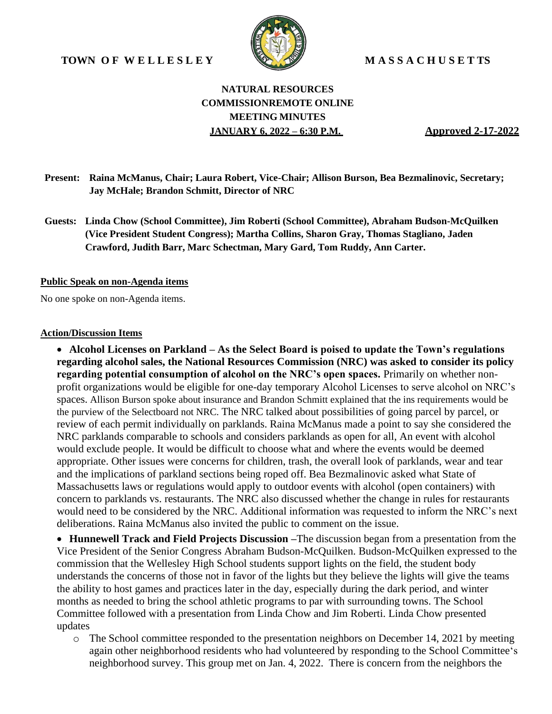**TOWN O F W E L L E S L E Y M A S S A C H U S E T TS**



### **NATURAL RESOURCES COMMISSIONREMOTE ONLINE MEETING MINUTES JANUARY 6, 2022 – 6:30 P.M. Approved 2-17-2022**

- **Present: Raina McManus, Chair; Laura Robert, Vice-Chair; Allison Burson, Bea Bezmalinovic, Secretary; Jay McHale; Brandon Schmitt, Director of NRC**
- **Guests: Linda Chow (School Committee), Jim Roberti (School Committee), Abraham Budson-McQuilken (Vice President Student Congress); Martha Collins, Sharon Gray, Thomas Stagliano, Jaden Crawford, Judith Barr, Marc Schectman, Mary Gard, Tom Ruddy, Ann Carter.**

#### **Public Speak on non-Agenda items**

No one spoke on non-Agenda items.

#### **Action/Discussion Items**

• **Alcohol Licenses on Parkland – As the Select Board is poised to update the Town's regulations regarding alcohol sales, the National Resources Commission (NRC) was asked to consider its policy regarding potential consumption of alcohol on the NRC's open spaces.** Primarily on whether nonprofit organizations would be eligible for one-day temporary Alcohol Licenses to serve alcohol on NRC's spaces. Allison Burson spoke about insurance and Brandon Schmitt explained that the ins requirements would be the purview of the Selectboard not NRC. The NRC talked about possibilities of going parcel by parcel, or review of each permit individually on parklands. Raina McManus made a point to say she considered the NRC parklands comparable to schools and considers parklands as open for all, An event with alcohol would exclude people. It would be difficult to choose what and where the events would be deemed appropriate. Other issues were concerns for children, trash, the overall look of parklands, wear and tear and the implications of parkland sections being roped off. Bea Bezmalinovic asked what State of Massachusetts laws or regulations would apply to outdoor events with alcohol (open containers) with concern to parklands vs. restaurants. The NRC also discussed whether the change in rules for restaurants would need to be considered by the NRC. Additional information was requested to inform the NRC's next deliberations. Raina McManus also invited the public to comment on the issue.

• **Hunnewell Track and Field Projects Discussion –**The discussion began from a presentation from the Vice President of the Senior Congress Abraham Budson-McQuilken. Budson-McQuilken expressed to the commission that the Wellesley High School students support lights on the field, the student body understands the concerns of those not in favor of the lights but they believe the lights will give the teams the ability to host games and practices later in the day, especially during the dark period, and winter months as needed to bring the school athletic programs to par with surrounding towns. The School Committee followed with a presentation from Linda Chow and Jim Roberti. Linda Chow presented updates

 $\circ$  The School committee responded to the presentation neighbors on December 14, 2021 by meeting again other neighborhood residents who had volunteered by responding to the School Committee's neighborhood survey. This group met on Jan. 4, 2022. There is concern from the neighbors the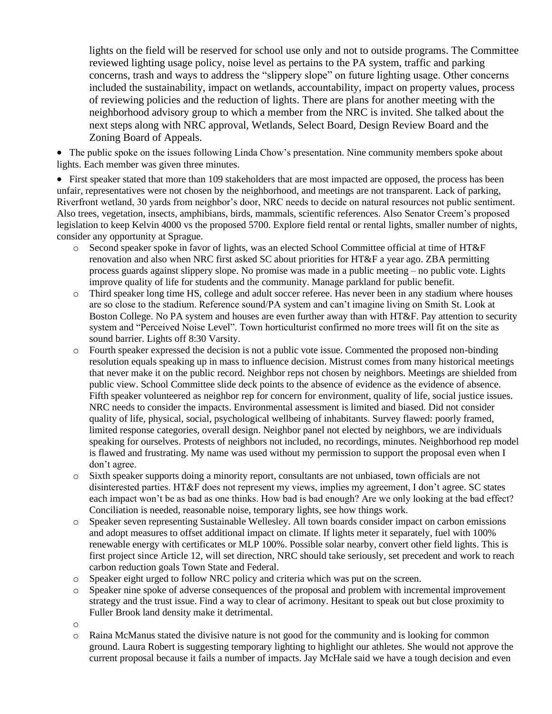lights on the field will be reserved for school use only and not to outside programs. The Committee reviewed lighting usage policy, noise level as pertains to the PA system, traffic and parking concerns, trash and ways to address the "slippery slope" on future lighting usage. Other concerns included the sustainability, impact on wetlands, accountability, impact on property values, process of reviewing policies and the reduction of lights. There are plans for another meeting with the neighborhood advisory group to which a member from the NRC is invited. She talked about the next steps along with NRC approval, Wetlands, Select Board, Design Review Board and the Zoning Board of Appeals.

• The public spoke on the issues following Linda Chow's presentation. Nine community members spoke about lights. Each member was given three minutes.

• First speaker stated that more than 109 stakeholders that are most impacted are opposed, the process has been unfair, representatives were not chosen by the neighborhood, and meetings are not transparent. Lack of parking, Riverfront wetland, 30 yards from neighbor's door, NRC needs to decide on natural resources not public sentiment. Also trees, vegetation, insects, amphibians, birds, mammals, scientific references. Also Senator Creem's proposed legislation to keep Kelvin 4000 vs the proposed 5700. Explore field rental or rental lights, smaller number of nights, consider any opportunity at Sprague.

- o Second speaker spoke in favor of lights, was an elected School Committee official at time of HT&F renovation and also when NRC first asked SC about priorities for HT&F a year ago. ZBA permitting process guards against slippery slope. No promise was made in a public meeting – no public vote. Lights improve quality of life for students and the community. Manage parkland for public benefit.
- o Third speaker long time HS, college and adult soccer referee. Has never been in any stadium where houses are so close to the stadium. Reference sound/PA system and can't imagine living on Smith St. Look at Boston College. No PA system and houses are even further away than with HT&F. Pay attention to security system and "Perceived Noise Level". Town horticulturist confirmed no more trees will fit on the site as sound barrier. Lights off 8:30 Varsity.
- o Fourth speaker expressed the decision is not a public vote issue. Commented the proposed non-binding resolution equals speaking up in mass to influence decision. Mistrust comes from many historical meetings that never make it on the public record. Neighbor reps not chosen by neighbors. Meetings are shielded from public view. School Committee slide deck points to the absence of evidence as the evidence of absence. Fifth speaker volunteered as neighbor rep for concern for environment, quality of life, social justice issues. NRC needs to consider the impacts. Environmental assessment is limited and biased. Did not consider quality of life, physical, social, psychological wellbeing of inhabitants. Survey flawed: poorly framed, limited response categories, overall design. Neighbor panel not elected by neighbors, we are individuals speaking for ourselves. Protests of neighbors not included, no recordings, minutes. Neighborhood rep model is flawed and frustrating. My name was used without my permission to support the proposal even when I don't agree.
- o Sixth speaker supports doing a minority report, consultants are not unbiased, town officials are not disinterested parties. HT&F does not represent my views, implies my agreement, I don't agree. SC states each impact won't be as bad as one thinks. How bad is bad enough? Are we only looking at the bad effect? Conciliation is needed, reasonable noise, temporary lights, see how things work.
- o Speaker seven representing Sustainable Wellesley. All town boards consider impact on carbon emissions and adopt measures to offset additional impact on climate. If lights meter it separately, fuel with 100% renewable energy with certificates or MLP 100%. Possible solar nearby, convert other field lights. This is first project since Article 12, will set direction, NRC should take seriously, set precedent and work to reach carbon reduction goals Town State and Federal.
- o Speaker eight urged to follow NRC policy and criteria which was put on the screen.
- o Speaker nine spoke of adverse consequences of the proposal and problem with incremental improvement strategy and the trust issue. Find a way to clear of acrimony. Hesitant to speak out but close proximity to Fuller Brook land density make it detrimental.
- o
- o Raina McManus stated the divisive nature is not good for the community and is looking for common ground. Laura Robert is suggesting temporary lighting to highlight our athletes. She would not approve the current proposal because it fails a number of impacts. Jay McHale said we have a tough decision and even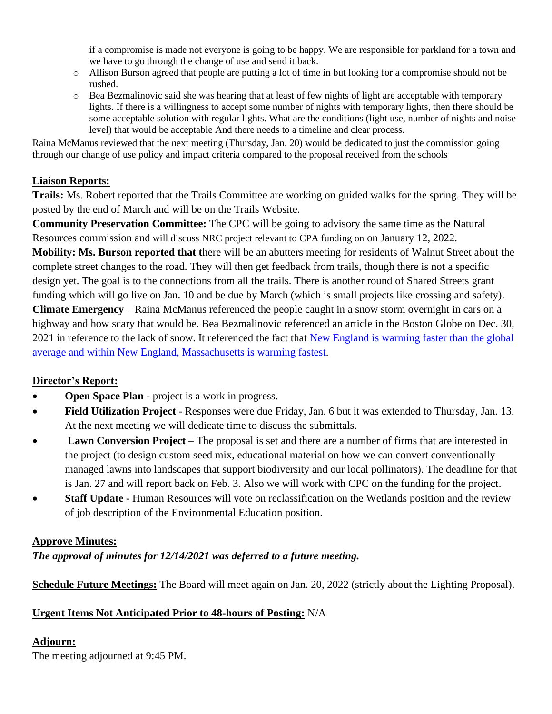if a compromise is made not everyone is going to be happy. We are responsible for parkland for a town and we have to go through the change of use and send it back.

- o Allison Burson agreed that people are putting a lot of time in but looking for a compromise should not be rushed.
- o Bea Bezmalinovic said she was hearing that at least of few nights of light are acceptable with temporary lights. If there is a willingness to accept some number of nights with temporary lights, then there should be some acceptable solution with regular lights. What are the conditions (light use, number of nights and noise level) that would be acceptable And there needs to a timeline and clear process.

Raina McManus reviewed that the next meeting (Thursday, Jan. 20) would be dedicated to just the commission going through our change of use policy and impact criteria compared to the proposal received from the schools

## **Liaison Reports:**

**Trails:** Ms. Robert reported that the Trails Committee are working on guided walks for the spring. They will be posted by the end of March and will be on the Trails Website.

**Community Preservation Committee:** The CPC will be going to advisory the same time as the Natural Resources commission and will discuss NRC project relevant to CPA funding on on January 12, 2022.

**Mobility: Ms. Burson reported that t**here will be an abutters meeting for residents of Walnut Street about the complete street changes to the road. They will then get feedback from trails, though there is not a specific design yet. The goal is to the connections from all the trails. There is another round of Shared Streets grant funding which will go live on Jan. 10 and be due by March (which is small projects like crossing and safety).

**Climate Emergency** – Raina McManus referenced the people caught in a snow storm overnight in cars on a highway and how scary that would be. Bea Bezmalinovic referenced an article in the Boston Globe on Dec. 30, 2021 in reference to the lack of snow. It referenced the fact that [New England is warming faster](https://www.bostonglobe.com/2021/12/30/science/new-england-is-warming-faster-than-rest-planet-new-study-finds/) than the global average [and within New England, Massachusetts is warming fastest.](https://www.bostonglobe.com/2021/12/30/science/new-england-is-warming-faster-than-rest-planet-new-study-finds/)

# **Director's Report:**

- **Open Space Plan**  project is a work in progress.
- **Field Utilization Project**  Responses were due Friday, Jan. 6 but it was extended to Thursday, Jan. 13. At the next meeting we will dedicate time to discuss the submittals.
- **Lawn Conversion Project** The proposal is set and there are a number of firms that are interested in the project (to design custom seed mix, educational material on how we can convert conventionally managed lawns into landscapes that support biodiversity and our local pollinators). The deadline for that is Jan. 27 and will report back on Feb. 3. Also we will work with CPC on the funding for the project.
- **Staff Update -** Human Resources will vote on reclassification on the Wetlands position and the review of job description of the Environmental Education position.

## **Approve Minutes:**

*The approval of minutes for 12/14/2021 was deferred to a future meeting.* 

**Schedule Future Meetings:** The Board will meet again on Jan. 20, 2022 (strictly about the Lighting Proposal).

## **Urgent Items Not Anticipated Prior to 48-hours of Posting:** N/A

# **Adjourn:**

The meeting adjourned at 9:45 PM.